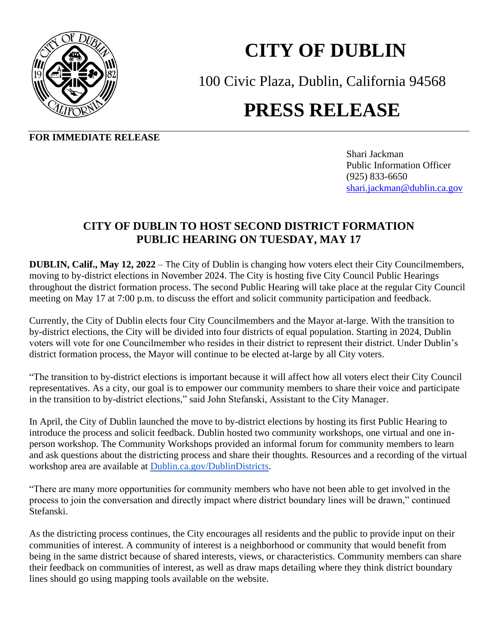

## **CITY OF DUBLIN**

100 Civic Plaza, Dublin, California 94568

## **PRESS RELEASE**

**FOR IMMEDIATE RELEASE**

Shari Jackman Public Information Officer(925) 833-6650 [shari.jackman@dublin.ca.gov](mailto:shari.jackman@dublin.ca.gov)

## **CITY OF DUBLIN TO HOST SECOND DISTRICT FORMATION PUBLIC HEARING ON TUESDAY, MAY 17**

**DUBLIN, Calif., May 12, 2022** – The City of Dublin is changing how voters elect their City Councilmembers, moving to by-district elections in November 2024. The City is hosting five City Council Public Hearings throughout the district formation process. The second Public Hearing will take place at the regular City Council meeting on May 17 at 7:00 p.m. to discuss the effort and solicit community participation and feedback.

Currently, the City of Dublin elects four City Councilmembers and the Mayor at-large. With the transition to by-district elections, the City will be divided into four districts of equal population. Starting in 2024, Dublin voters will vote for one Councilmember who resides in their district to represent their district. Under Dublin's district formation process, the Mayor will continue to be elected at-large by all City voters.

"The transition to by-district elections is important because it will affect how all voters elect their City Council representatives. As a city, our goal is to empower our community members to share their voice and participate in the transition to by-district elections," said John Stefanski, Assistant to the City Manager.

In April, the City of Dublin launched the move to by-district elections by hosting its first Public Hearing to introduce the process and solicit feedback. Dublin hosted two community workshops, one virtual and one inperson workshop. The Community Workshops provided an informal forum for community members to learn and ask questions about the districting process and share their thoughts. Resources and a recording of the virtual workshop area are available at [Dublin.ca.gov/DublinDistricts.](http://www.dublin.ca.gov/dublindistricts)

"There are many more opportunities for community members who have not been able to get involved in the process to join the conversation and directly impact where district boundary lines will be drawn," continued Stefanski.

As the districting process continues, the City encourages all residents and the public to provide input on their communities of interest. A community of interest is a neighborhood or community that would benefit from being in the same district because of shared interests, views, or characteristics. Community members can share their feedback on communities of interest, as well as draw maps detailing where they think district boundary lines should go using mapping tools available on the website.